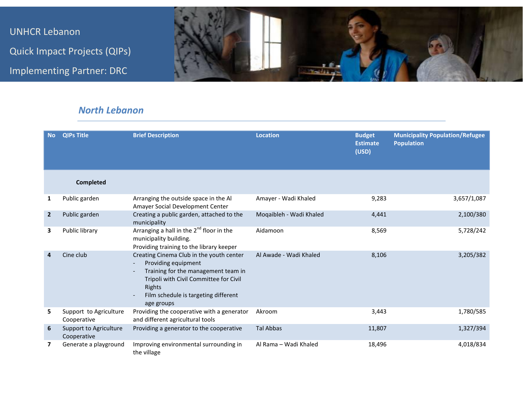UNHCR Lebanon Quick Impact Projects (QIPs) Implementing Partner: DRC



## *North Lebanon*

| <b>No</b>      | <b>QIPs Title</b>                     | <b>Brief Description</b>                                                                                                                                                                                         | <b>Location</b>         | <b>Budget</b><br><b>Estimate</b><br>(USD) | <b>Municipality Population/Refugee</b><br><b>Population</b> |
|----------------|---------------------------------------|------------------------------------------------------------------------------------------------------------------------------------------------------------------------------------------------------------------|-------------------------|-------------------------------------------|-------------------------------------------------------------|
|                | Completed                             |                                                                                                                                                                                                                  |                         |                                           |                                                             |
| 1              | Public garden                         | Arranging the outside space in the Al<br>Amayer Social Development Center                                                                                                                                        | Amayer - Wadi Khaled    | 9,283                                     | 3,657/1,087                                                 |
| $\overline{2}$ | Public garden                         | Creating a public garden, attached to the<br>municipality                                                                                                                                                        | Moqaibleh - Wadi Khaled | 4,441                                     | 2,100/380                                                   |
| 3              | Public library                        | Arranging a hall in the $2^{nd}$ floor in the<br>municipality building.<br>Providing training to the library keeper                                                                                              | Aidamoon                | 8,569                                     | 5,728/242                                                   |
| 4              | Cine club                             | Creating Cinema Club in the youth center<br>Providing equipment<br>Training for the management team in<br>Tripoli with Civil Committee for Civil<br>Rights<br>Film schedule is targeting different<br>age groups | Al Awade - Wadi Khaled  | 8,106                                     | 3,205/382                                                   |
| 5.             | Support to Agriculture<br>Cooperative | Providing the cooperative with a generator<br>and different agricultural tools                                                                                                                                   | Akroom                  | 3,443                                     | 1,780/585                                                   |
| 6              | Support to Agriculture<br>Cooperative | Providing a generator to the cooperative                                                                                                                                                                         | <b>Tal Abbas</b>        | 11,807                                    | 1,327/394                                                   |
| 7              | Generate a playground                 | Improving environmental surrounding in<br>the village                                                                                                                                                            | Al Rama - Wadi Khaled   | 18,496                                    | 4,018/834                                                   |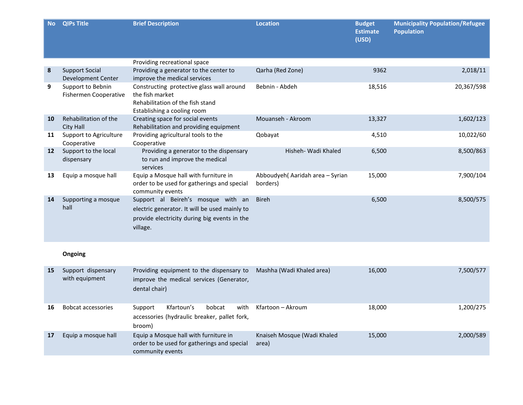| <b>No</b> | <b>QIPs Title</b>                                 | <b>Brief Description</b>                                                                                                                        | <b>Location</b>                              | <b>Budget</b><br><b>Estimate</b><br>(USD) | <b>Municipality Population/Refugee</b><br><b>Population</b> |
|-----------|---------------------------------------------------|-------------------------------------------------------------------------------------------------------------------------------------------------|----------------------------------------------|-------------------------------------------|-------------------------------------------------------------|
|           |                                                   | Providing recreational space                                                                                                                    |                                              |                                           |                                                             |
| 8         | <b>Support Social</b><br>Development Center       | Providing a generator to the center to<br>improve the medical services                                                                          | Qarha (Red Zone)                             | 9362                                      | 2,018/11                                                    |
| 9         | Support to Bebnin<br><b>Fishermen Cooperative</b> | Constructing protective glass wall around<br>the fish market<br>Rehabilitation of the fish stand<br>Establishing a cooling room                 | Bebnin - Abdeh                               | 18,516                                    | 20,367/598                                                  |
| 10        | Rehabilitation of the<br>City Hall                | Creating space for social events<br>Rehabilitation and providing equipment                                                                      | Mouanseh - Akroom                            | 13,327                                    | 1,602/123                                                   |
| 11        | Support to Agriculture<br>Cooperative             | Providing agricultural tools to the<br>Cooperative                                                                                              | Qobayat                                      | 4,510                                     | 10,022/60                                                   |
| 12        | Support to the local<br>dispensary                | Providing a generator to the dispensary<br>to run and improve the medical<br>services                                                           | Hisheh- Wadi Khaled                          | 6,500                                     | 8,500/863                                                   |
| 13        | Equip a mosque hall                               | Equip a Mosque hall with furniture in<br>order to be used for gatherings and special<br>community events                                        | Abboudyeh (Aaridah area - Syrian<br>borders) | 15,000                                    | 7,900/104                                                   |
| 14        | Supporting a mosque<br>hall                       | Support al Beireh's mosque with an<br>electric generator. It will be used mainly to<br>provide electricity during big events in the<br>village. | <b>Bireh</b>                                 | 6,500                                     | 8,500/575                                                   |
|           | Ongoing                                           |                                                                                                                                                 |                                              |                                           |                                                             |
| 15        | Support dispensary<br>with equipment              | Providing equipment to the dispensary to<br>improve the medical services (Generator,<br>dental chair)                                           | Mashha (Wadi Khaled area)                    | 16,000                                    | 7,500/577                                                   |
| 16        | <b>Bobcat accessories</b>                         | Kfartoun's<br>Support<br>bobcat<br>with<br>accessories (hydraulic breaker, pallet fork,<br>broom)                                               | Kfartoon - Akroum                            | 18,000                                    | 1,200/275                                                   |
| 17        | Equip a mosque hall                               | Equip a Mosque hall with furniture in<br>order to be used for gatherings and special<br>community events                                        | Knaiseh Mosque (Wadi Khaled<br>area)         | 15,000                                    | 2,000/589                                                   |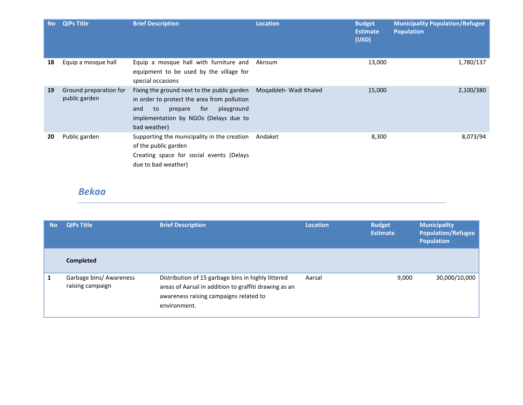| <b>No</b> | <b>QIPs Title</b>                       | <b>Brief Description</b>                                                                                                                                                                         | <b>Location</b>        | <b>Budget</b><br><b>Estimate</b><br>(USD) | <b>Municipality Population/Refugee</b><br><b>Population</b> |
|-----------|-----------------------------------------|--------------------------------------------------------------------------------------------------------------------------------------------------------------------------------------------------|------------------------|-------------------------------------------|-------------------------------------------------------------|
| 18        | Equip a mosque hall                     | Equip a mosque hall with furniture and<br>equipment to be used by the village for<br>special occasions                                                                                           | Akroum                 | 13,000                                    | 1,780/137                                                   |
| 19        | Ground preparation for<br>public garden | Fixing the ground next to the public garden<br>in order to protect the area from pollution<br>to<br>for<br>and<br>playground<br>prepare<br>implementation by NGOs (Delays due to<br>bad weather) | Mogaibleh- Wadi Khaled | 15,000                                    | 2,100/380                                                   |
| 20        | Public garden                           | Supporting the municipality in the creation<br>of the public garden<br>Creating space for social events (Delays<br>due to bad weather)                                                           | Andaket                | 8,300                                     | 8,073/94                                                    |

## *Bekaa*

| <b>No</b> | <b>QIPs Title</b>                           | <b>Brief Description</b>                                                                                                                                              | Location | <b>Budget</b><br><b>Estimate</b> | <b>Municipality</b><br><b>Population/Refugee</b><br><b>Population</b> |
|-----------|---------------------------------------------|-----------------------------------------------------------------------------------------------------------------------------------------------------------------------|----------|----------------------------------|-----------------------------------------------------------------------|
|           | Completed                                   |                                                                                                                                                                       |          |                                  |                                                                       |
|           | Garbage bins/ Awareness<br>raising campaign | Distribution of 15 garbage bins in highly littered<br>areas of Aarsal in addition to graffiti drawing as an<br>awareness raising campaigns related to<br>environment. | Aarsal   | 9,000                            | 30,000/10,000                                                         |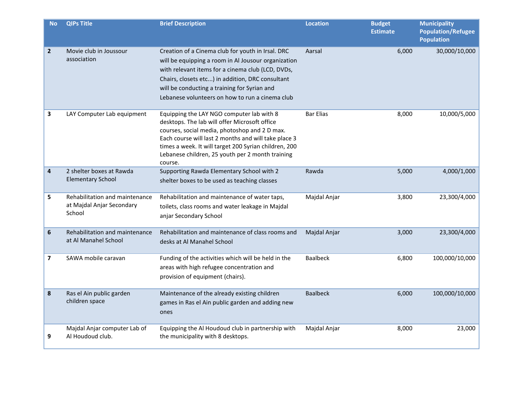| <b>No</b>      | <b>QIPs Title</b>                                                     | <b>Brief Description</b>                                                                                                                                                                                                                                                                                                    | <b>Location</b>  | <b>Budget</b><br><b>Estimate</b> | <b>Municipality</b><br><b>Population/Refugee</b><br><b>Population</b> |
|----------------|-----------------------------------------------------------------------|-----------------------------------------------------------------------------------------------------------------------------------------------------------------------------------------------------------------------------------------------------------------------------------------------------------------------------|------------------|----------------------------------|-----------------------------------------------------------------------|
| $\overline{2}$ | Movie club in Joussour<br>association                                 | Creation of a Cinema club for youth in Irsal. DRC<br>will be equipping a room in Al Jousour organization<br>with relevant items for a cinema club (LCD, DVDs,<br>Chairs, closets etc) in addition, DRC consultant<br>will be conducting a training for Syrian and<br>Lebanese volunteers on how to run a cinema club        | Aarsal           | 6,000                            | 30,000/10,000                                                         |
| 3              | LAY Computer Lab equipment                                            | Equipping the LAY NGO computer lab with 8<br>desktops. The lab will offer Microsoft office<br>courses, social media, photoshop and 2 D max.<br>Each course will last 2 months and will take place 3<br>times a week. It will target 200 Syrian children, 200<br>Lebanese children, 25 youth per 2 month training<br>course. | <b>Bar Elias</b> | 8,000                            | 10,000/5,000                                                          |
| 4              | 2 shelter boxes at Rawda<br><b>Elementary School</b>                  | Supporting Rawda Elementary School with 2<br>shelter boxes to be used as teaching classes                                                                                                                                                                                                                                   | Rawda            | 5,000                            | 4,000/1,000                                                           |
| 5              | Rehabilitation and maintenance<br>at Majdal Anjar Secondary<br>School | Rehabilitation and maintenance of water taps,<br>toilets, class rooms and water leakage in Majdal<br>anjar Secondary School                                                                                                                                                                                                 | Majdal Anjar     | 3,800                            | 23,300/4,000                                                          |
| 6              | Rehabilitation and maintenance<br>at Al Manahel School                | Rehabilitation and maintenance of class rooms and<br>desks at Al Manahel School                                                                                                                                                                                                                                             | Majdal Anjar     | 3,000                            | 23,300/4,000                                                          |
| 7              | SAWA mobile caravan                                                   | Funding of the activities which will be held in the<br>areas with high refugee concentration and<br>provision of equipment (chairs).                                                                                                                                                                                        | <b>Baalbeck</b>  | 6,800                            | 100,000/10,000                                                        |
| 8              | Ras el Ain public garden<br>children space                            | Maintenance of the already existing children<br>games in Ras el Ain public garden and adding new<br>ones                                                                                                                                                                                                                    | <b>Baalbeck</b>  | 6,000                            | 100,000/10,000                                                        |
| 9              | Majdal Anjar computer Lab of<br>Al Houdoud club.                      | Equipping the Al Houdoud club in partnership with<br>the municipality with 8 desktops.                                                                                                                                                                                                                                      | Majdal Anjar     | 8,000                            | 23,000                                                                |